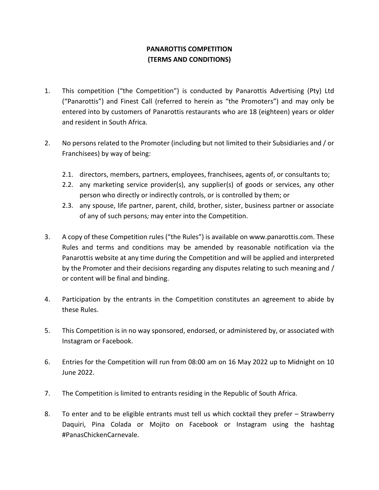## **PANAROTTIS COMPETITION (TERMS AND CONDITIONS)**

- 1. This competition ("the Competition") is conducted by Panarottis Advertising (Pty) Ltd ("Panarottis") and Finest Call (referred to herein as "the Promoters") and may only be entered into by customers of Panarottis restaurants who are 18 (eighteen) years or older and resident in South Africa.
- 2. No persons related to the Promoter (including but not limited to their Subsidiaries and / or Franchisees) by way of being:
	- 2.1. directors, members, partners, employees, franchisees, agents of, or consultants to;
	- 2.2. any marketing service provider(s), any supplier(s) of goods or services, any other person who directly or indirectly controls, or is controlled by them; or
	- 2.3. any spouse, life partner, parent, child, brother, sister, business partner or associate of any of such persons*;* may enter into the Competition.
- 3. A copy of these Competition rules ("the Rules") is available on [www.panarottis.com.](http://www.panarottis.com/) These Rules and terms and conditions may be amended by reasonable notification via the Panarottis website at any time during the Competition and will be applied and interpreted by the Promoter and their decisions regarding any disputes relating to such meaning and / or content will be final and binding.
- 4. Participation by the entrants in the Competition constitutes an agreement to abide by these Rules.
- 5. This Competition is in no way sponsored, endorsed, or administered by, or associated with Instagram or Facebook.
- 6. Entries for the Competition will run from 08:00 am on 16 May 2022 up to Midnight on 10 June 2022.
- 7. The Competition is limited to entrants residing in the Republic of South Africa.
- 8. To enter and to be eligible entrants must tell us which cocktail they prefer Strawberry Daquiri, Pina Colada or Mojito on Facebook or Instagram using the hashtag #PanasChickenCarnevale.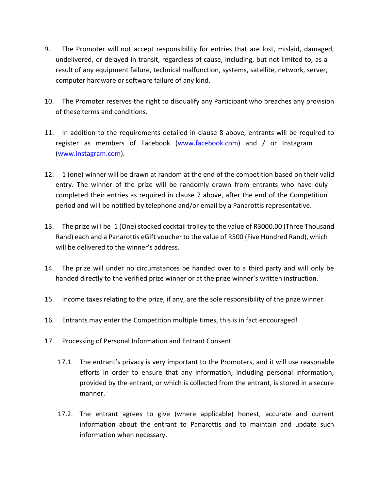- 9. The Promoter will not accept responsibility for entries that are lost, mislaid, damaged, undelivered, or delayed in transit, regardless of cause, including, but not limited to, as a result of any equipment failure, technical malfunction, systems, satellite, network, server, computer hardware or software failure of any kind.
- 10. The Promoter reserves the right to disqualify any Participant who breaches any provision of these terms and conditions.
- 11. In addition to the requirements detailed in clause 8 above, entrants will be required to register as members of Facebook [\(www.facebook.com\)](http://www.facebook.com/) and / or Instagram [\(www.instagram.com\).](http://www.instagram.com/)
- 12. 1 (one) winner will be drawn at random at the end of the competition based on their valid entry. The winner of the prize will be randomly drawn from entrants who have duly completed their entries as required in clause 7 above, after the end of the Competition period and will be notified by telephone and/or email by a Panarottis representative.
- 13. The prize will be 1 (One) stocked cocktail trolley to the value of R3000.00 (Three Thousand Rand) each and a Panarottis eGift voucher to the value of R500 (Five Hundred Rand), which will be delivered to the winner's address.
- 14. The prize will under no circumstances be handed over to a third party and will only be handed directly to the verified prize winner or at the prize winner's written instruction.
- 15. Income taxes relating to the prize, if any, are the sole responsibility of the prize winner.
- 16. Entrants may enter the Competition multiple times, this is in fact encouraged!

## 17. Processing of Personal Information and Entrant Consent

- 17.1. The entrant's privacy is very important to the Promoters, and it will use reasonable efforts in order to ensure that any information, including personal information, provided by the entrant, or which is collected from the entrant, is stored in a secure manner.
- 17.2. The entrant agrees to give (where applicable) honest, accurate and current information about the entrant to Panarottis and to maintain and update such information when necessary.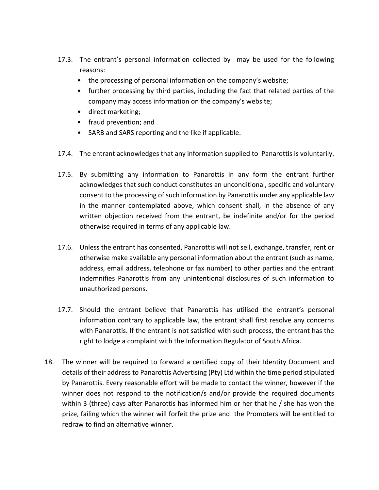- 17.3. The entrant's personal information collected by may be used for the following reasons:
	- the processing of personal information on the company's website;
	- further processing by third parties, including the fact that related parties of the company may access information on the company's website;
	- direct marketing;
	- fraud prevention; and
	- SARB and SARS reporting and the like if applicable.
- 17.4. The entrant acknowledges that any information supplied to Panarottis is voluntarily.
- 17.5. By submitting any information to Panarottis in any form the entrant further acknowledges that such conduct constitutes an unconditional, specific and voluntary consent to the processing of such information by Panarottis under any applicable law in the manner contemplated above, which consent shall, in the absence of any written objection received from the entrant, be indefinite and/or for the period otherwise required in terms of any applicable law.
- 17.6. Unless the entrant has consented, Panarottis will not sell, exchange, transfer, rent or otherwise make available any personal information about the entrant (such as name, address, email address, telephone or fax number) to other parties and the entrant indemnifies Panarottis from any unintentional disclosures of such information to unauthorized persons.
- 17.7. Should the entrant believe that Panarottis has utilised the entrant's personal information contrary to applicable law, the entrant shall first resolve any concerns with Panarottis. If the entrant is not satisfied with such process, the entrant has the right to lodge a complaint with the Information Regulator of South Africa.
- 18. The winner will be required to forward a certified copy of their Identity Document and details of their address to Panarottis Advertising (Pty) Ltd within the time period stipulated by Panarottis. Every reasonable effort will be made to contact the winner, however if the winner does not respond to the notification/s and/or provide the required documents within 3 (three) days after Panarottis has informed him or her that he / she has won the prize, failing which the winner will forfeit the prize and the Promoters will be entitled to redraw to find an alternative winner.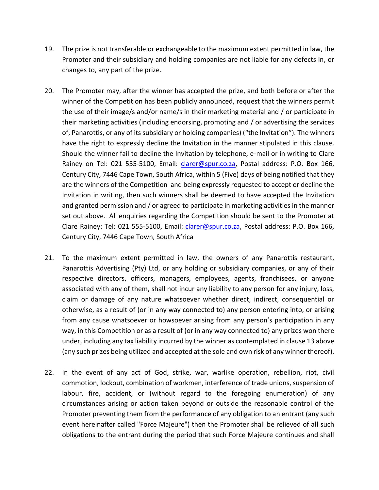- 19. The prize is not transferable or exchangeable to the maximum extent permitted in law, the Promoter and their subsidiary and holding companies are not liable for any defects in, or changes to, any part of the prize.
- 20. The Promoter may, after the winner has accepted the prize, and both before or after the winner of the Competition has been publicly announced, request that the winners permit the use of their image/s and/or name/s in their marketing material and / or participate in their marketing activities (including endorsing, promoting and / or advertising the services of, Panarottis, or any of its subsidiary or holding companies) ("the Invitation"). The winners have the right to expressly decline the Invitation in the manner stipulated in this clause. Should the winner fail to decline the Invitation by telephone, e-mail or in writing to Clare Rainey on Tel: 021 555-5100, Email: [clarer@spur.co.za,](mailto:clarer@spur.co.za) Postal address: P.O. Box 166, Century City, 7446 Cape Town, South Africa, within 5 (Five) days of being notified that they are the winners of the Competition and being expressly requested to accept or decline the Invitation in writing, then such winners shall be deemed to have accepted the Invitation and granted permission and / or agreed to participate in marketing activities in the manner set out above. All enquiries regarding the Competition should be sent to the Promoter at Clare Rainey: Tel: 021 555-5100, Email: *clarer@spur.co.za*, Postal address: P.O. Box 166, Century City, 7446 Cape Town, South Africa
- 21. To the maximum extent permitted in law, the owners of any Panarottis restaurant, Panarottis Advertising (Pty) Ltd, or any holding or subsidiary companies, or any of their respective directors, officers, managers, employees, agents, franchisees, or anyone associated with any of them, shall not incur any liability to any person for any injury, loss, claim or damage of any nature whatsoever whether direct, indirect, consequential or otherwise, as a result of (or in any way connected to) any person entering into, or arising from any cause whatsoever or howsoever arising from any person's participation in any way, in this Competition or as a result of (or in any way connected to) any prizes won there under, including any tax liability incurred by the winner as contemplated in clause 13 above (any such prizes being utilized and accepted at the sole and own risk of any winner thereof).
- 22. In the event of any act of God, strike, war, warlike operation, rebellion, riot, civil commotion, lockout, combination of workmen, interference of trade unions, suspension of labour, fire, accident, or (without regard to the foregoing enumeration) of any circumstances arising or action taken beyond or outside the reasonable control of the Promoter preventing them from the performance of any obligation to an entrant (any such event hereinafter called "Force Majeure") then the Promoter shall be relieved of all such obligations to the entrant during the period that such Force Majeure continues and shall